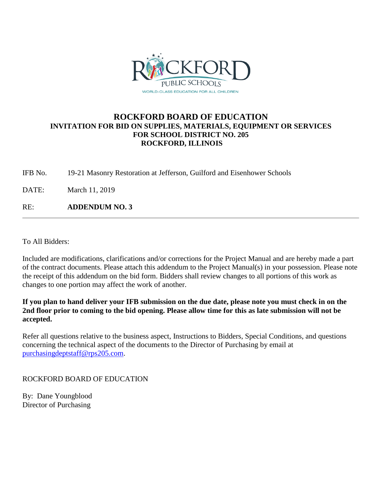

## **ROCKFORD BOARD OF EDUCATION INVITATION FOR BID ON SUPPLIES, MATERIALS, EQUIPMENT OR SERVICES FOR SCHOOL DISTRICT NO. 205 ROCKFORD, ILLINOIS**

IFB No. 19-21 Masonry Restoration at Jefferson, Guilford and Eisenhower Schools

DATE: March 11, 2019

RE: **ADDENDUM NO. 3**

To All Bidders:

Included are modifications, clarifications and/or corrections for the Project Manual and are hereby made a part of the contract documents. Please attach this addendum to the Project Manual(s) in your possession. Please note the receipt of this addendum on the bid form. Bidders shall review changes to all portions of this work as changes to one portion may affect the work of another.

**If you plan to hand deliver your IFB submission on the due date, please note you must check in on the 2nd floor prior to coming to the bid opening. Please allow time for this as late submission will not be accepted.**

Refer all questions relative to the business aspect, Instructions to Bidders, Special Conditions, and questions concerning the technical aspect of the documents to the Director of Purchasing by email at [purchasingdeptstaff@rps205.com.](mailto:purchasingdeptstaff@rps205.com)

## ROCKFORD BOARD OF EDUCATION

By: Dane Youngblood Director of Purchasing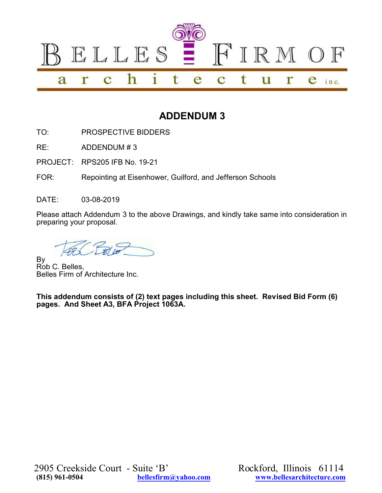

# **ADDENDUM 3**

TO: PROSPECTIVE BIDDERS

RE: ADDENDUM # 3

PROJECT: RPS205 IFB No. 19-21

FOR: Repointing at Eisenhower, Guilford, and Jefferson Schools

DATE: 03-08-2019

Please attach Addendum 3 to the above Drawings, and kindly take same into consideration in preparing your proposal.

By Rob C. Belles, Belles Firm of Architecture Inc.

**This addendum consists of (2) text pages including this sheet. Revised Bid Form (6) pages. And Sheet A3, BFA Project 1063A.**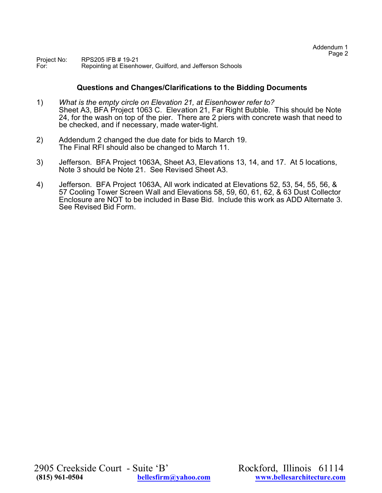Project No: RPS205 IFB # 19-21<br>For: Repointing at Eisenh Repointing at Eisenhower, Guilford, and Jefferson Schools

#### **Questions and Changes/Clarifications to the Bidding Documents**

- 1) *What is the empty circle on Elevation 21, at Eisenhower refer to?* Sheet A3, BFA Project 1063 C. Elevation 21, Far Right Bubble. This should be Note 24, for the wash on top of the pier. There are 2 piers with concrete wash that need to be checked, and if necessary, made water-tight.
- 2) Addendum 2 changed the due date for bids to March 19. The Final RFI should also be changed to March 11.
- 3) Jefferson. BFA Project 1063A, Sheet A3, Elevations 13, 14, and 17. At 5 locations, Note 3 should be Note 21. See Revised Sheet A3.
- 4) Jefferson. BFA Project 1063A, All work indicated at Elevations 52, 53, 54, 55, 56, & 57 Cooling Tower Screen Wall and Elevations 58, 59, 60, 61, 62, & 63 Dust Collector Enclosure are NOT to be included in Base Bid. Include this work as ADD Alternate 3. See Revised Bid Form.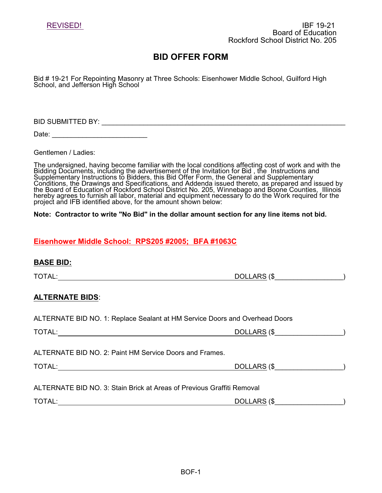Bid # 19-21 For Repointing Masonry at Three Schools: Eisenhower Middle School, Guilford High School, and Jefferson High School

BID SUBMITTED BY: \_\_\_\_\_\_\_\_\_\_\_\_\_\_\_\_\_\_\_\_\_\_\_\_\_\_\_\_\_\_\_\_\_\_\_\_\_\_\_\_\_\_\_\_\_\_\_\_\_\_\_\_\_\_\_\_\_\_\_\_\_\_\_\_

Date: \_\_\_\_\_\_\_\_\_\_\_\_\_\_\_\_\_\_\_\_\_\_\_\_\_

Gentlemen / Ladies:

The undersigned, having become familiar with the local conditions affecting cost of work and with the Bidding Documents, including the advertisement of the Invitation for Bid , the Instructions and Supplementary Instructions to Bidders, this Bid Offer Form, the General and Supplementary Conditions, the Drawings and Specifications, and Addenda issued thereto, as prepared and issued by the Board of Education of Rockford School District No. 205, Winnebago and Boone Counties, Illinois hereby agrees to furnish all labor, material and equipment necessary to do the Work required for the project and IFB identified above, for the amount shown below:

#### **Note: Contractor to write "No Bid" in the dollar amount section for any line items not bid.**

## **Eisenhower Middle School: RPS205 #2005; BFA #1063C**

| <b>BASE BID:</b>                                                            |                                |  |
|-----------------------------------------------------------------------------|--------------------------------|--|
| TOTAL: TOTAL:                                                               |                                |  |
| <b>ALTERNATE BIDS:</b>                                                      |                                |  |
| ALTERNATE BID NO. 1: Replace Sealant at HM Service Doors and Overhead Doors |                                |  |
|                                                                             | DOLLARS (\$___________________ |  |
| ALTERNATE BID NO. 2: Paint HM Service Doors and Frames.                     |                                |  |
|                                                                             | DOLLARS (\$                    |  |
| ALTERNATE BID NO. 3: Stain Brick at Areas of Previous Graffiti Removal      |                                |  |
| TOTAL:                                                                      | DOLLARS (\$                    |  |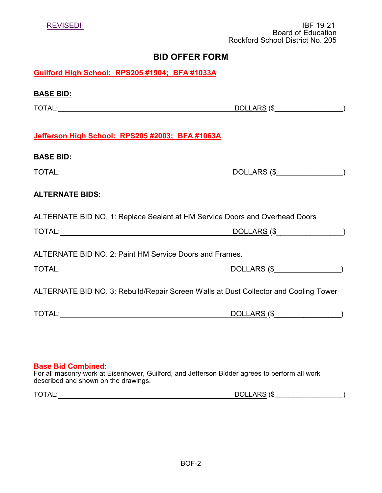|                                                                             | <b>Board of Education</b><br>Rockford School District No. 205                        |
|-----------------------------------------------------------------------------|--------------------------------------------------------------------------------------|
|                                                                             | <b>BID OFFER FORM</b>                                                                |
| Guilford High School: RPS205 #1904; BFA #1033A                              |                                                                                      |
| <u>BASE BID:</u>                                                            |                                                                                      |
|                                                                             | DOLLARS (\$                                                                          |
| Jefferson High School: RPS205 #2003; BFA #1063A                             |                                                                                      |
| <b>BASE BID:</b>                                                            |                                                                                      |
|                                                                             | DOLLARS (\$                                                                          |
| <b>ALTERNATE BIDS:</b>                                                      |                                                                                      |
| ALTERNATE BID NO. 1: Replace Sealant at HM Service Doors and Overhead Doors |                                                                                      |
|                                                                             | DOLLARS (\$_________________)                                                        |
| ALTERNATE BID NO. 2: Paint HM Service Doors and Frames.                     |                                                                                      |
|                                                                             | DOLLARS (\$                                                                          |
|                                                                             | ALTERNATE BID NO. 3: Rebuild/Repair Screen Walls at Dust Collector and Cooling Tower |
|                                                                             | DOLLARS (\$                                                                          |
|                                                                             |                                                                                      |
|                                                                             |                                                                                      |
| <b>Base Bid Combined:</b>                                                   |                                                                                      |

REVISED! IBF 19-21

For all masonry work at Eisenhower, Guilford, and Jefferson Bidder agrees to perform all work described and shown on the drawings.

| ו∩רי<br>$-2$<br>$\sqrt{ }$<br>$\Lambda$<br>ιω<br><b>DULLAN</b><br>¬∟.<br>◡<br>$\check{~}$ |  |
|-------------------------------------------------------------------------------------------|--|
|-------------------------------------------------------------------------------------------|--|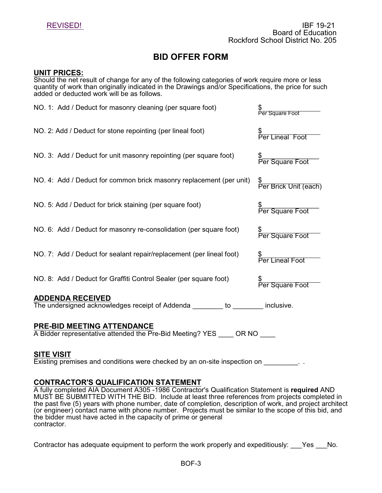### **UNIT PRICES:**

Should the net result of change for any of the following categories of work require more or less quantity of work than originally indicated in the Drawings and/or Specifications, the price for such added or deducted work will be as follows.

| NO. 1: Add / Deduct for masonry cleaning (per square foot)                                             | \$<br>Per Square Foot                             |  |  |  |
|--------------------------------------------------------------------------------------------------------|---------------------------------------------------|--|--|--|
| NO. 2: Add / Deduct for stone repointing (per lineal foot)                                             | \$<br>Per Lineal                                  |  |  |  |
| NO. 3: Add / Deduct for unit masonry repointing (per square foot)                                      | \$<br>Per Square Foot                             |  |  |  |
| NO. 4: Add / Deduct for common brick masonry replacement (per unit)                                    | \$<br>Per Brick Unit (each)                       |  |  |  |
| NO. 5: Add / Deduct for brick staining (per square foot)                                               | \$_____________________<br>Per Square Foot        |  |  |  |
| NO. 6: Add / Deduct for masonry re-consolidation (per square foot)                                     | \$____________________________<br>Per Square Foot |  |  |  |
| NO. 7: Add / Deduct for sealant repair/replacement (per lineal foot)                                   | \$<br>Per Lineal Foot                             |  |  |  |
| NO. 8: Add / Deduct for Graffiti Control Sealer (per square foot)                                      | \$________________________<br>Per Square Foot     |  |  |  |
| <b>ADDENDA RECEIVED</b><br>The undersigned acknowledges receipt of Addenda _______ to _____ inclusive. |                                                   |  |  |  |
| <b>PRE-BID MEETING ATTENDANCE</b>                                                                      |                                                   |  |  |  |

A Bidder representative attended the Pre-Bid Meeting? YES \_\_\_\_ OR NO \_\_\_\_

#### **SITE VISIT**

Existing premises and conditions were checked by an on-site inspection on Fig. .

## **CONTRACTOR'S QUALIFICATION STATEMENT**

A fully completed AIA Document A305 -1986 Contractor's Qualification Statement is **required** AND MUST BE SUBMITTED WITH THE BID. Include at least three references from projects completed in the past five (5) years with phone number, date of completion, description of work, and project architect (or engineer) contact name with phone number. Projects must be similar to the scope of this bid, and the bidder must have acted in the capacity of prime or general contractor.

Contractor has adequate equipment to perform the work properly and expeditiously: Yes No.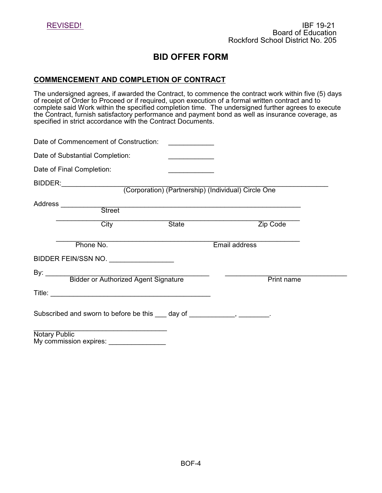## **COMMENCEMENT AND COMPLETION OF CONTRACT**

The undersigned agrees, if awarded the Contract, to commence the contract work within five (5) days of receipt of Order to Proceed or if required, upon execution of a formal written contract and to complete said Work within the specified completion time. The undersigned further agrees to execute the Contract, furnish satisfactory performance and payment bond as well as insurance coverage, as specified in strict accordance with the Contract Documents.

| Date of Commencement of Construction:                                     |       |               |
|---------------------------------------------------------------------------|-------|---------------|
| Date of Substantial Completion:                                           |       |               |
| Date of Final Completion:                                                 |       |               |
| BIDDER: (Corporation) (Partnership) (Individual) Circle One               |       |               |
| Address __________<br>Street                                              |       |               |
| City                                                                      | State | Zip Code      |
| Phone No.                                                                 |       | Email address |
| BIDDER FEIN/SSN NO.                                                       |       |               |
| By: Bidder or Authorized Agent Signature                                  |       | Print name    |
|                                                                           |       |               |
| Subscribed and sworn to before be this ___ day of ____________, ________. |       |               |
| <b>Notary Public</b>                                                      |       |               |

My commission expires: \_\_\_\_\_\_\_\_\_\_\_\_\_\_\_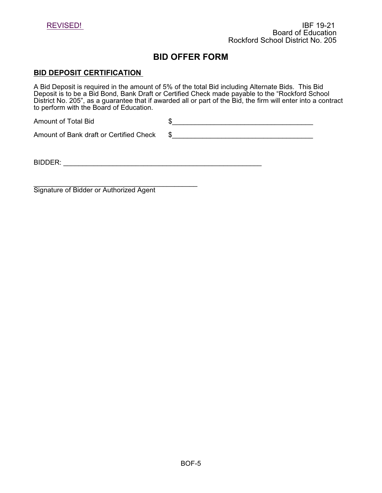

#### **BID DEPOSIT CERTIFICATION**

A Bid Deposit is required in the amount of 5% of the total Bid including Alternate Bids. This Bid Deposit is to be a Bid Bond, Bank Draft or Certified Check made payable to the "Rockford School District No. 205", as a guarantee that if awarded all or part of the Bid, the firm will enter into a contract to perform with the Board of Education.

Amount of Total Bid  $$$ Amount of Bank draft or Certified Check  $$$ 

BIDDER: \_\_\_\_\_\_\_\_\_\_\_\_\_\_\_\_\_\_\_\_\_\_\_\_\_\_\_\_\_\_\_\_\_\_\_\_\_\_\_\_\_\_\_\_\_\_\_\_\_\_\_\_

 $\frac{1}{2}$  , and the set of the set of the set of the set of the set of the set of the set of the set of the set of the set of the set of the set of the set of the set of the set of the set of the set of the set of the set Signature of Bidder or Authorized Agent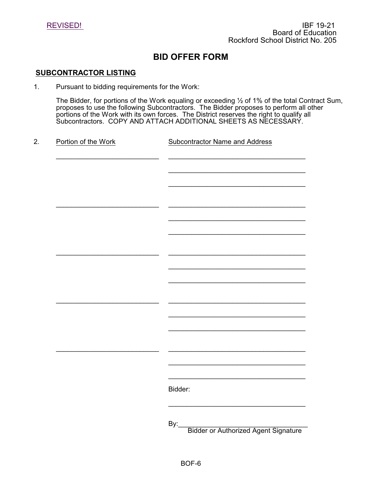

#### **SUBCONTRACTOR LISTING**

1. Pursuant to bidding requirements for the Work:

The Bidder, for portions of the Work equaling or exceeding ½ of 1% of the total Contract Sum, proposes to use the following Subcontractors. The Bidder proposes to perform all other portions of the Work with its own forces. The District reserves the right to qualify all Subcontractors. COPY AND ATTACH ADDITIONAL SHEETS AS NECESSARY.

2. Portion of the Work Subcontractor Name and Address \_\_\_\_\_\_\_\_\_\_\_\_\_\_\_\_\_\_\_\_\_\_\_\_\_\_\_ \_\_\_\_\_\_\_\_\_\_\_\_\_\_\_\_\_\_\_\_\_\_\_\_\_\_\_\_\_\_\_\_\_\_\_\_  $\overline{\phantom{a}}$  , where  $\overline{\phantom{a}}$  , where  $\overline{\phantom{a}}$  , where  $\overline{\phantom{a}}$  , where  $\overline{\phantom{a}}$  $\overline{\phantom{a}}$  , where  $\overline{\phantom{a}}$  , where  $\overline{\phantom{a}}$  , where  $\overline{\phantom{a}}$  , where  $\overline{\phantom{a}}$ \_\_\_\_\_\_\_\_\_\_\_\_\_\_\_\_\_\_\_\_\_\_\_\_\_\_\_ \_\_\_\_\_\_\_\_\_\_\_\_\_\_\_\_\_\_\_\_\_\_\_\_\_\_\_\_\_\_\_\_\_\_\_\_  $\overline{\phantom{a}}$  , where  $\overline{\phantom{a}}$  , where  $\overline{\phantom{a}}$  , where  $\overline{\phantom{a}}$  , where  $\overline{\phantom{a}}$  $\overline{\phantom{a}}$  , where  $\overline{\phantom{a}}$  , where  $\overline{\phantom{a}}$  , where  $\overline{\phantom{a}}$  , where  $\overline{\phantom{a}}$ \_\_\_\_\_\_\_\_\_\_\_\_\_\_\_\_\_\_\_\_\_\_\_\_\_\_\_ \_\_\_\_\_\_\_\_\_\_\_\_\_\_\_\_\_\_\_\_\_\_\_\_\_\_\_\_\_\_\_\_\_\_\_\_  $\overline{\phantom{a}}$  , where  $\overline{\phantom{a}}$  , where  $\overline{\phantom{a}}$  , where  $\overline{\phantom{a}}$  , where  $\overline{\phantom{a}}$  $\overline{\phantom{a}}$  , where  $\overline{\phantom{a}}$  , where  $\overline{\phantom{a}}$  , where  $\overline{\phantom{a}}$  , where  $\overline{\phantom{a}}$ \_\_\_\_\_\_\_\_\_\_\_\_\_\_\_\_\_\_\_\_\_\_\_\_\_\_\_ \_\_\_\_\_\_\_\_\_\_\_\_\_\_\_\_\_\_\_\_\_\_\_\_\_\_\_\_\_\_\_\_\_\_\_\_  $\overline{\phantom{a}}$  , where  $\overline{\phantom{a}}$  , where  $\overline{\phantom{a}}$  , where  $\overline{\phantom{a}}$  , where  $\overline{\phantom{a}}$  $\overline{\phantom{a}}$  , where  $\overline{\phantom{a}}$  , where  $\overline{\phantom{a}}$  , where  $\overline{\phantom{a}}$  , where  $\overline{\phantom{a}}$ \_\_\_\_\_\_\_\_\_\_\_\_\_\_\_\_\_\_\_\_\_\_\_\_\_\_\_ \_\_\_\_\_\_\_\_\_\_\_\_\_\_\_\_\_\_\_\_\_\_\_\_\_\_\_\_\_\_\_\_\_\_\_\_  $\overline{\phantom{a}}$  , where  $\overline{\phantom{a}}$  , where  $\overline{\phantom{a}}$  , where  $\overline{\phantom{a}}$  , where  $\overline{\phantom{a}}$  $\overline{\phantom{a}}$  , where  $\overline{\phantom{a}}$  , where  $\overline{\phantom{a}}$  , where  $\overline{\phantom{a}}$  , where  $\overline{\phantom{a}}$ Bidder:  $\overline{\phantom{a}}$  , where  $\overline{\phantom{a}}$  , where  $\overline{\phantom{a}}$  , where  $\overline{\phantom{a}}$  , where  $\overline{\phantom{a}}$ By:\_\_\_\_\_\_\_\_\_\_\_\_\_\_\_\_\_\_\_\_\_\_\_\_\_\_\_\_\_\_\_\_\_\_ Bidder or Authorized Agent Signature